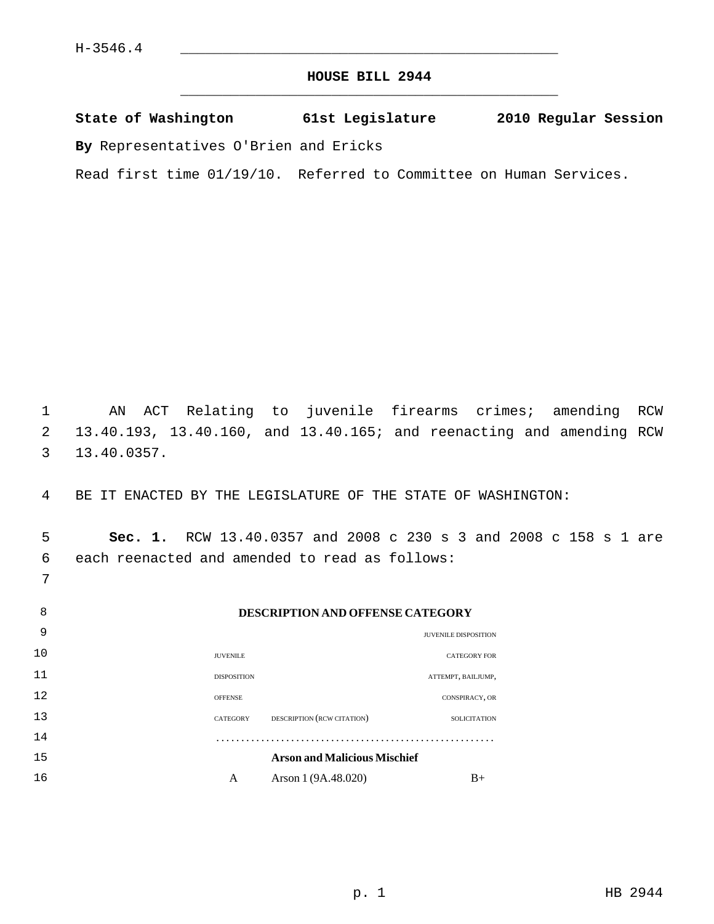7

# **HOUSE BILL 2944** \_\_\_\_\_\_\_\_\_\_\_\_\_\_\_\_\_\_\_\_\_\_\_\_\_\_\_\_\_\_\_\_\_\_\_\_\_\_\_\_\_\_\_\_\_

|  | State of Washington | 61st Legislature | 2010 Regular Session |  |
|--|---------------------|------------------|----------------------|--|
|  |                     |                  |                      |  |

**By** Representatives O'Brien and Ericks

Read first time 01/19/10. Referred to Committee on Human Services.

 1 AN ACT Relating to juvenile firearms crimes; amending RCW 2 13.40.193, 13.40.160, and 13.40.165; and reenacting and amending RCW 3 13.40.0357.

4 BE IT ENACTED BY THE LEGISLATURE OF THE STATE OF WASHINGTON:

 5 **Sec. 1.** RCW 13.40.0357 and 2008 c 230 s 3 and 2008 c 158 s 1 are 6 each reenacted and amended to read as follows:

| 8  |                    | <b>DESCRIPTION AND OFFENSE CATEGORY</b> |                             |
|----|--------------------|-----------------------------------------|-----------------------------|
| 9  |                    |                                         | <b>JUVENILE DISPOSITION</b> |
| 10 | <b>JUVENILE</b>    |                                         | <b>CATEGORY FOR</b>         |
| 11 | <b>DISPOSITION</b> |                                         | ATTEMPT, BAILJUMP,          |
| 12 | <b>OFFENSE</b>     |                                         | CONSPIRACY, OR              |
| 13 | CATEGORY           | DESCRIPTION (RCW CITATION)              | <b>SOLICITATION</b>         |
| 14 |                    |                                         |                             |
| 15 |                    | <b>Arson and Malicious Mischief</b>     |                             |
| 16 | A                  | Arson 1 (9A.48.020)                     | $B+$                        |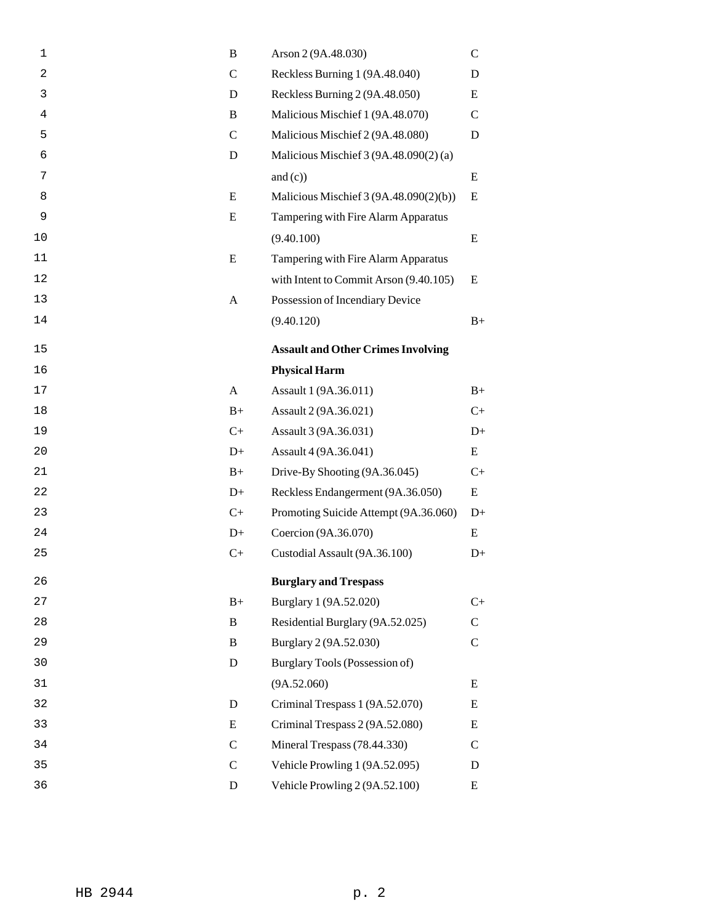| 1  | B             | Arson 2 (9A.48.030)                       | $\mathsf{C}$  |
|----|---------------|-------------------------------------------|---------------|
| 2  | $\mathcal{C}$ | Reckless Burning 1 (9A.48.040)            | D             |
| 3  | D             | Reckless Burning 2 (9A.48.050)            | E             |
| 4  | B             | Malicious Mischief 1 (9A.48.070)          | $\mathcal{C}$ |
| 5  | $\mathcal{C}$ | Malicious Mischief 2 (9A.48.080)          | D             |
| 6  | D             | Malicious Mischief 3 (9A.48.090(2) (a)    |               |
| 7  |               | and $(c)$ )                               | E             |
| 8  | E             | Malicious Mischief 3 (9A.48.090(2)(b))    | E             |
| 9  | E             | Tampering with Fire Alarm Apparatus       |               |
| 10 |               | (9.40.100)                                | E             |
| 11 | E             | Tampering with Fire Alarm Apparatus       |               |
| 12 |               | with Intent to Commit Arson (9.40.105)    | E             |
| 13 | A             | Possession of Incendiary Device           |               |
| 14 |               | (9.40.120)                                | $B+$          |
| 15 |               | <b>Assault and Other Crimes Involving</b> |               |
| 16 |               | <b>Physical Harm</b>                      |               |
| 17 | A             | Assault 1 (9A.36.011)                     | $B+$          |
| 18 | $B+$          | Assault 2 (9A.36.021)                     | $C+$          |
| 19 | $C+$          | Assault 3 (9A.36.031)                     | $D+$          |
| 20 | $D+$          | Assault 4 (9A.36.041)                     | E             |
| 21 | $B+$          | Drive-By Shooting (9A.36.045)             | $C+$          |
| 22 | $D+$          | Reckless Endangerment (9A.36.050)         | E             |
| 23 | $C+$          | Promoting Suicide Attempt (9A.36.060)     | $D+$          |
| 24 | $D+$          | Coercion (9A.36.070)                      | E             |
| 25 | $C+$          | Custodial Assault (9A.36.100)             | $D+$          |
| 26 |               | <b>Burglary and Trespass</b>              |               |
| 27 | $B+$          | Burglary 1 (9A.52.020)                    | $C+$          |
| 28 | B             | Residential Burglary (9A.52.025)          | $\mathsf{C}$  |
| 29 | B             | Burglary 2 (9A.52.030)                    | $\mathbf C$   |
| 30 | D             | Burglary Tools (Possession of)            |               |
| 31 |               | (9A.52.060)                               | E             |
| 32 | D             | Criminal Trespass 1 (9A.52.070)           | E             |
| 33 | E             | Criminal Trespass 2 (9A.52.080)           | E             |
| 34 | $\mathcal{C}$ | Mineral Trespass (78.44.330)              | C             |
| 35 | $\mathsf{C}$  | Vehicle Prowling 1 (9A.52.095)            | D             |
| 36 | D             | Vehicle Prowling 2 (9A.52.100)            | E             |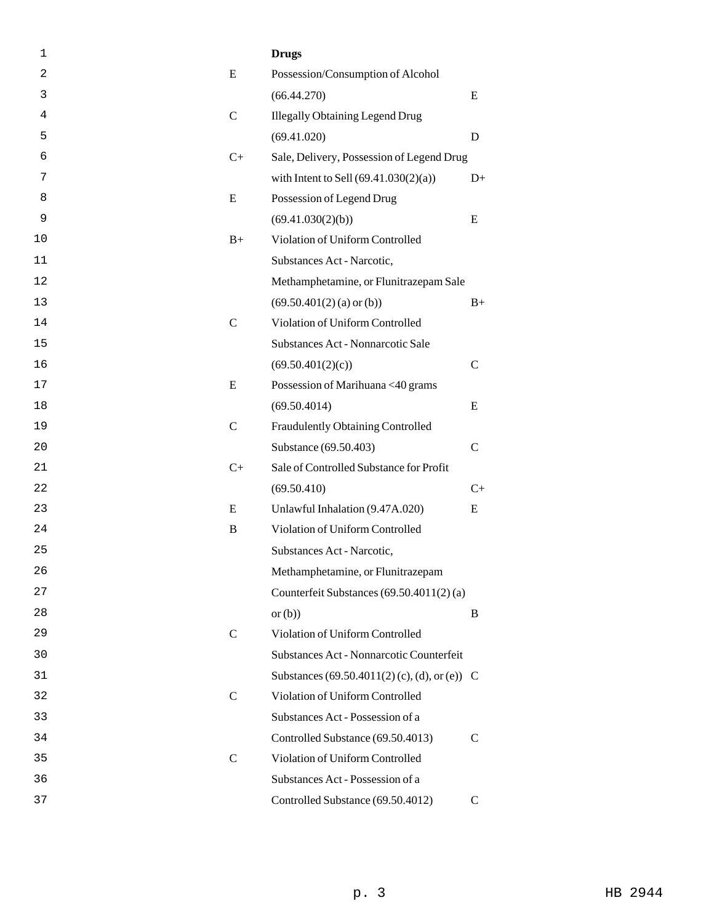| 1  |               | <b>Drugs</b>                                 |               |
|----|---------------|----------------------------------------------|---------------|
| 2  | E             | Possession/Consumption of Alcohol            |               |
| 3  |               | (66.44.270)                                  | E             |
| 4  | $\mathcal{C}$ | <b>Illegally Obtaining Legend Drug</b>       |               |
| 5  |               | (69.41.020)                                  | D             |
| 6  | $C+$          | Sale, Delivery, Possession of Legend Drug    |               |
| 7  |               | with Intent to Sell $(69.41.030(2)(a))$      | $D+$          |
| 8  | E             | Possession of Legend Drug                    |               |
| 9  |               | (69.41.030(2)(b))                            | E             |
| 10 | $B+$          | Violation of Uniform Controlled              |               |
| 11 |               | Substances Act - Narcotic,                   |               |
| 12 |               | Methamphetamine, or Flunitrazepam Sale       |               |
| 13 |               | $(69.50.401(2)$ (a) or (b))                  | $B+$          |
| 14 | $\mathcal{C}$ | Violation of Uniform Controlled              |               |
| 15 |               | Substances Act - Nonnarcotic Sale            |               |
| 16 |               | (69.50.401(2)(c))                            | $\mathsf{C}$  |
| 17 | E             | Possession of Marihuana <40 grams            |               |
| 18 |               | (69.50.4014)                                 | E             |
| 19 | $\mathcal{C}$ | Fraudulently Obtaining Controlled            |               |
| 20 |               | Substance (69.50.403)                        | $\mathcal{C}$ |
| 21 | $C+$          | Sale of Controlled Substance for Profit      |               |
| 22 |               | (69.50.410)                                  | $C+$          |
| 23 | E             | Unlawful Inhalation (9.47A.020)              | E             |
| 24 | B             | Violation of Uniform Controlled              |               |
| 25 |               | Substances Act - Narcotic,                   |               |
| 26 |               | Methamphetamine, or Flunitrazepam            |               |
| 27 |               | Counterfeit Substances (69.50.4011(2)(a)     |               |
| 28 |               | or $(b)$                                     | B             |
| 29 | $\mathsf{C}$  | Violation of Uniform Controlled              |               |
| 30 |               | Substances Act - Nonnarcotic Counterfeit     |               |
| 31 |               | Substances (69.50.4011(2)(c), (d), or (e)) C |               |
| 32 | $\mathcal{C}$ | Violation of Uniform Controlled              |               |
| 33 |               | Substances Act - Possession of a             |               |
| 34 |               | Controlled Substance (69.50.4013)            | $\mathcal{C}$ |
| 35 | $\mathsf{C}$  | Violation of Uniform Controlled              |               |
| 36 |               | Substances Act - Possession of a             |               |
| 37 |               | Controlled Substance (69.50.4012)            | $\mathcal{C}$ |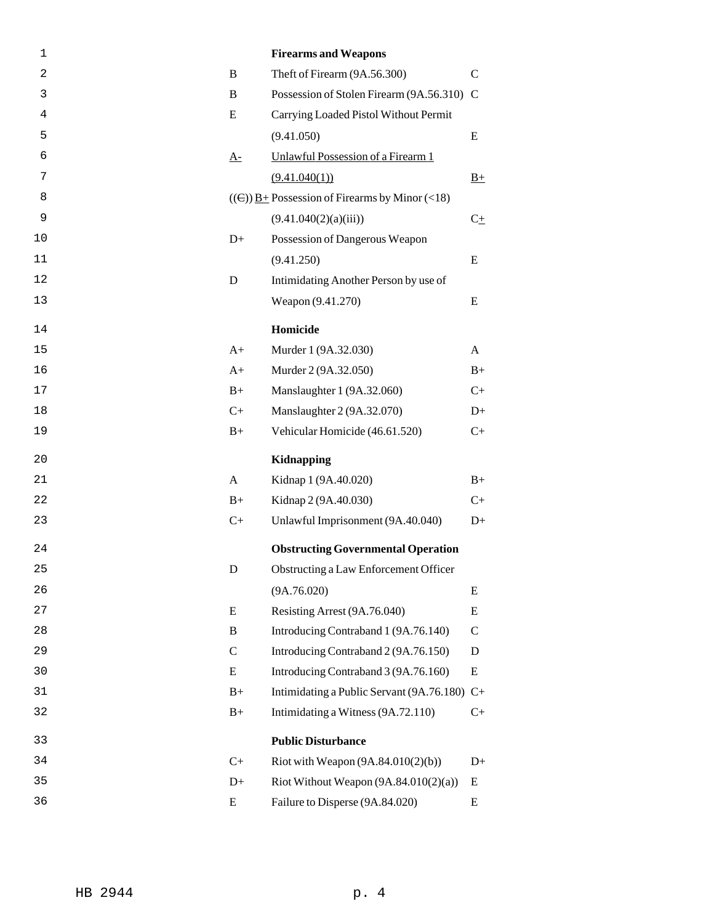| 1  |               | <b>Firearms and Weapons</b>                                        |              |
|----|---------------|--------------------------------------------------------------------|--------------|
| 2  | B             | Theft of Firearm (9A.56.300)                                       | $\mathsf{C}$ |
| 3  | B             | Possession of Stolen Firearm (9A.56.310) C                         |              |
| 4  | E             | Carrying Loaded Pistol Without Permit                              |              |
| 5  |               | (9.41.050)                                                         | E            |
| 6  | $A-$          | Unlawful Possession of a Firearm 1                                 |              |
| 7  |               | (9.41.040(1))                                                      | $B+$         |
| 8  |               | $((\in)$ ) $\underline{B}$ + Possession of Firearms by Minor (<18) |              |
| 9  |               | (9.41.040(2)(a)(iii))                                              | $C\pm$       |
| 10 | $D+$          | Possession of Dangerous Weapon                                     |              |
| 11 |               | (9.41.250)                                                         | E            |
| 12 | D             | Intimidating Another Person by use of                              |              |
| 13 |               | Weapon (9.41.270)                                                  | E            |
| 14 |               | Homicide                                                           |              |
| 15 | $A+$          | Murder 1 (9A.32.030)                                               | A            |
| 16 | $A+$          | Murder 2 (9A.32.050)                                               | $B+$         |
| 17 | $B+$          | Manslaughter 1 (9A.32.060)                                         | $C+$         |
| 18 | $C+$          | Manslaughter 2 (9A.32.070)                                         | $D+$         |
| 19 | $B+$          | Vehicular Homicide (46.61.520)                                     | $C+$         |
| 20 |               | Kidnapping                                                         |              |
| 21 | A             | Kidnap 1 (9A.40.020)                                               | $B+$         |
| 22 | $B+$          | Kidnap 2 (9A.40.030)                                               | $C+$         |
| 23 | $C+$          | Unlawful Imprisonment (9A.40.040)                                  | $D+$         |
| 24 |               | <b>Obstructing Governmental Operation</b>                          |              |
| 25 | D             | Obstructing a Law Enforcement Officer                              |              |
| 26 |               | (9A.76.020)                                                        | E            |
| 27 | E             | Resisting Arrest (9A.76.040)                                       | E            |
| 28 | B             | Introducing Contraband 1 (9A.76.140)                               | $\mathsf{C}$ |
| 29 | $\mathcal{C}$ | Introducing Contraband 2 (9A.76.150)                               | D            |
| 30 | E             | Introducing Contraband 3 (9A.76.160)                               | E            |
| 31 | $B+$          | Intimidating a Public Servant (9A.76.180) C+                       |              |
| 32 | $B+$          | Intimidating a Witness (9A.72.110)                                 | $C+$         |
| 33 |               | <b>Public Disturbance</b>                                          |              |
| 34 | $C+$          | Riot with Weapon $(9A.84.010(2)(b))$                               | $D+$         |
| 35 | $D+$          | Riot Without Weapon $(9A.84.010(2)(a))$                            | E            |
| 36 | E             | Failure to Disperse (9A.84.020)                                    | ${\bf E}$    |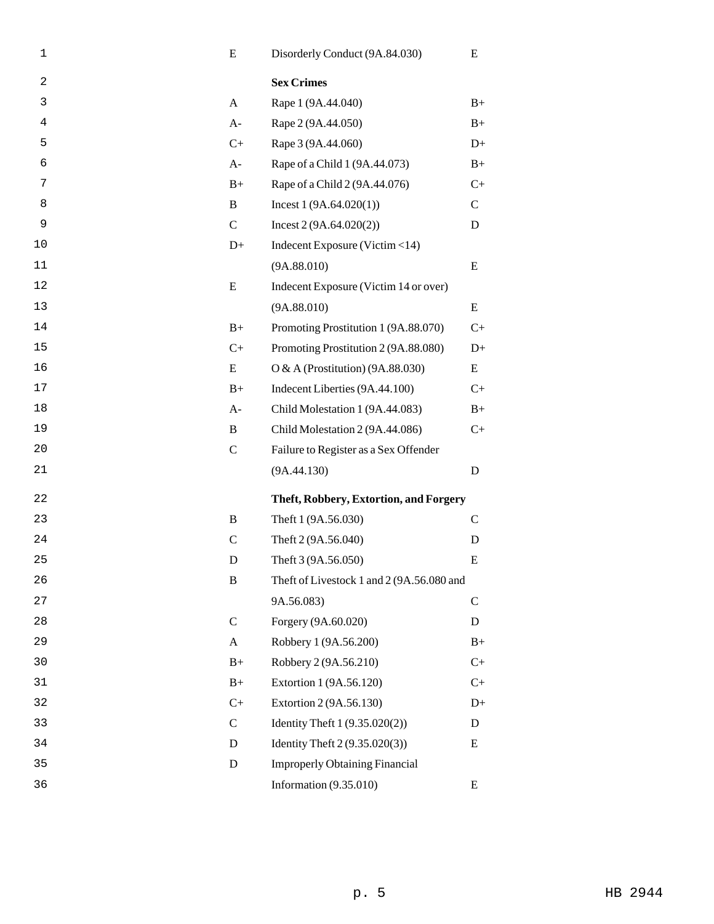| 1              | E             | Disorderly Conduct (9A.84.030)            | E            |
|----------------|---------------|-------------------------------------------|--------------|
| $\overline{2}$ |               | <b>Sex Crimes</b>                         |              |
| 3              | A             | Rape 1 (9A.44.040)                        | $B+$         |
| 4              | $A-$          | Rape 2 (9A.44.050)                        | $B+$         |
| 5              | $C+$          | Rape 3 (9A.44.060)                        | $D+$         |
| 6              | $A-$          | Rape of a Child 1 (9A.44.073)             | $B+$         |
| 7              | $B+$          | Rape of a Child 2 (9A.44.076)             | $C+$         |
| 8              | B             | Incest $1(9A.64.020(1))$                  | $\mathsf{C}$ |
| 9              | $\mathbf C$   | Incest 2 (9A.64.020(2))                   | D            |
| 10             | $D+$          | Indecent Exposure (Victim <14)            |              |
| 11             |               | (9A.88.010)                               | E            |
| 12             | E             | Indecent Exposure (Victim 14 or over)     |              |
| 13             |               | (9A.88.010)                               | E            |
| 14             | $B+$          | Promoting Prostitution 1 (9A.88.070)      | $C+$         |
| 15             | $C+$          | Promoting Prostitution 2 (9A.88.080)      | $D+$         |
| 16             | E             | O & A (Prostitution) $(9A.88.030)$        | Ε            |
| 17             | $B+$          | Indecent Liberties (9A.44.100)            | $C+$         |
| 18             | $A-$          | Child Molestation 1 (9A.44.083)           | $B+$         |
| 19             | B             | Child Molestation 2 (9A.44.086)           | $C+$         |
| 20             | $\mathbf C$   | Failure to Register as a Sex Offender     |              |
| 21             |               | (9A.44.130)                               | D            |
| 22             |               | Theft, Robbery, Extortion, and Forgery    |              |
| 23             | B             | Theft 1 (9A.56.030)                       | $\mathbf C$  |
| 24             | $\mathsf{C}$  | Theft 2 (9A.56.040)                       | D            |
| 25             | D             | Theft 3 (9A.56.050)                       | E            |
| 26             | $\mathbf B$   | Theft of Livestock 1 and 2 (9A.56.080 and |              |
| 27             |               | 9A.56.083)                                | $\mathsf{C}$ |
| 28             | $\mathbf C$   | Forgery (9A.60.020)                       | D            |
| 29             | A             | Robbery 1 (9A.56.200)                     | $B+$         |
| 30             | $B+$          | Robbery 2 (9A.56.210)                     | $C+$         |
| 31             | $B+$          | Extortion 1 (9A.56.120)                   | $C+$         |
| 32             | $C+$          | Extortion 2 (9A.56.130)                   | $D+$         |
| 33             | $\mathcal{C}$ | Identity Theft 1 (9.35.020(2))            | D            |
| 34             | D             | Identity Theft 2 (9.35.020(3))            | E            |
| 35             | D             | <b>Improperly Obtaining Financial</b>     |              |
| 36             |               | Information $(9.35.010)$                  | E            |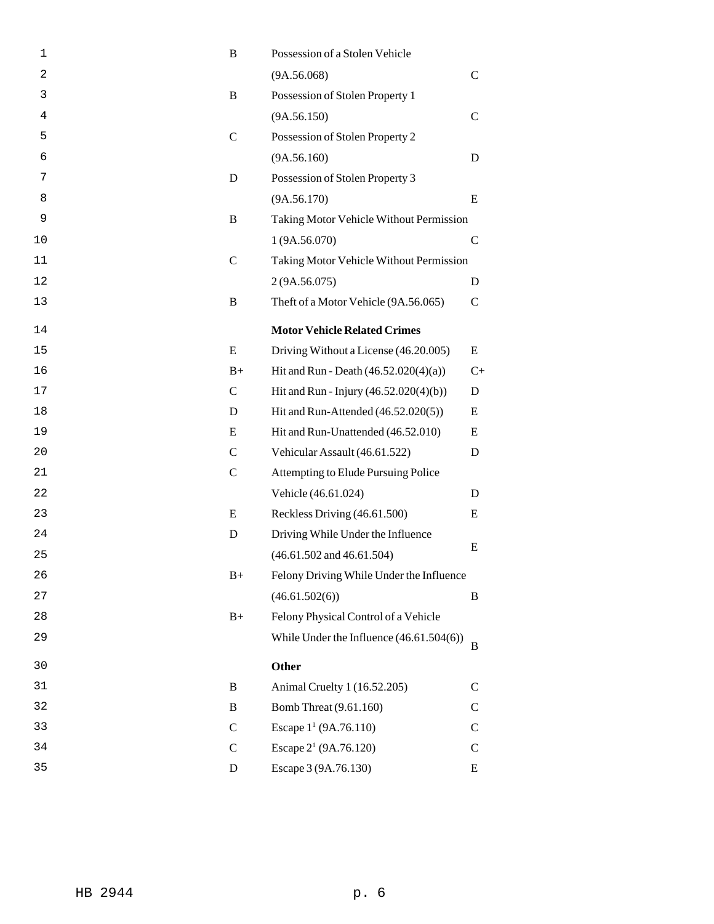| 1  | B             | Possession of a Stolen Vehicle             |               |
|----|---------------|--------------------------------------------|---------------|
| 2  |               | (9A.56.068)                                | $\mathcal{C}$ |
| 3  | B             | Possession of Stolen Property 1            |               |
| 4  |               | (9A.56.150)                                | $\mathsf{C}$  |
| 5  | $\mathbf C$   | Possession of Stolen Property 2            |               |
| 6  |               | (9A.56.160)                                | D             |
| 7  | D             | Possession of Stolen Property 3            |               |
| 8  |               | (9A.56.170)                                | E             |
| 9  | B             | Taking Motor Vehicle Without Permission    |               |
| 10 |               | 1(9A.56.070)                               | $\mathcal{C}$ |
| 11 | $\mathsf{C}$  | Taking Motor Vehicle Without Permission    |               |
| 12 |               | 2(9A.56.075)                               | D             |
| 13 | B             | Theft of a Motor Vehicle (9A.56.065)       | $\mathsf{C}$  |
| 14 |               | <b>Motor Vehicle Related Crimes</b>        |               |
| 15 | E             | Driving Without a License (46.20.005)      | Ε             |
| 16 | $B+$          | Hit and Run - Death $(46.52.020(4)(a))$    | $C+$          |
| 17 | $\mathsf{C}$  | Hit and Run - Injury (46.52.020(4)(b))     | D             |
| 18 | D             | Hit and Run-Attended (46.52.020(5))        | E             |
| 19 | E             | Hit and Run-Unattended (46.52.010)         | E             |
| 20 | $\mathsf{C}$  | Vehicular Assault (46.61.522)              | D             |
| 21 | $\mathsf{C}$  | Attempting to Elude Pursuing Police        |               |
| 22 |               | Vehicle (46.61.024)                        | D             |
| 23 | E             | Reckless Driving (46.61.500)               | E             |
| 24 | D             | Driving While Under the Influence          |               |
| 25 |               | $(46.61.502$ and $46.61.504)$              | Ε             |
| 26 | $B+$          | Felony Driving While Under the Influence   |               |
| 27 |               | (46.61.502(6))                             | B             |
| 28 | $B+$          | Felony Physical Control of a Vehicle       |               |
| 29 |               | While Under the Influence $(46.61.504(6))$ | B             |
| 30 |               | Other                                      |               |
| 31 | B             | Animal Cruelty 1 (16.52.205)               | C             |
| 32 | B             | Bomb Threat (9.61.160)                     | C             |
| 33 | $\mathsf{C}$  | Escape 1 <sup>1</sup> (9A.76.110)          | $\mathsf{C}$  |
| 34 | $\mathcal{C}$ | Escape 2 <sup>1</sup> (9A.76.120)          | C             |
| 35 | D             | Escape 3 (9A.76.130)                       | Ε             |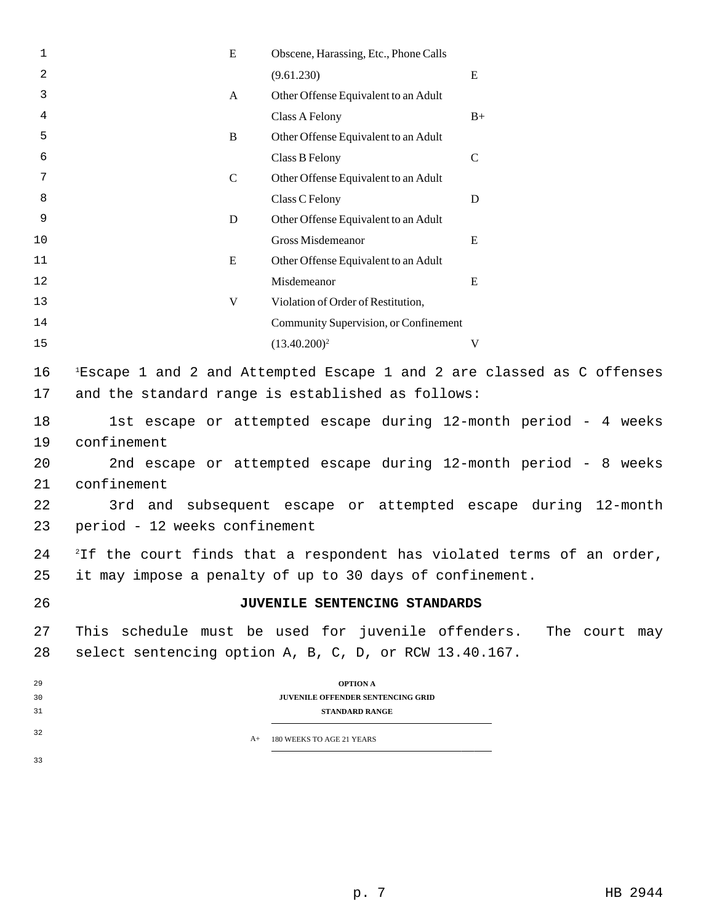| 1                                | ${\bf E}$                                                   | Obscene, Harassing, Etc., Phone Calls                                         |                                                                                                                                                                                                     |
|----------------------------------|-------------------------------------------------------------|-------------------------------------------------------------------------------|-----------------------------------------------------------------------------------------------------------------------------------------------------------------------------------------------------|
| 2                                |                                                             | (9.61.230)                                                                    | ${\bf E}$                                                                                                                                                                                           |
| 3                                | $\mathbf{A}$                                                | Other Offense Equivalent to an Adult                                          |                                                                                                                                                                                                     |
| 4                                |                                                             | Class A Felony                                                                | $B+$                                                                                                                                                                                                |
| 5                                | $\mathbf B$                                                 | Other Offense Equivalent to an Adult                                          |                                                                                                                                                                                                     |
| 6                                |                                                             | Class B Felony                                                                | $\mathsf{C}$                                                                                                                                                                                        |
| 7                                | $\mathbf C$                                                 | Other Offense Equivalent to an Adult                                          |                                                                                                                                                                                                     |
| 8                                |                                                             | Class C Felony                                                                | D                                                                                                                                                                                                   |
| 9                                | $\mathbf D$                                                 | Other Offense Equivalent to an Adult                                          |                                                                                                                                                                                                     |
| 10                               |                                                             | Gross Misdemeanor                                                             | E                                                                                                                                                                                                   |
| 11                               | E                                                           | Other Offense Equivalent to an Adult                                          |                                                                                                                                                                                                     |
| 12                               |                                                             | Misdemeanor                                                                   | E                                                                                                                                                                                                   |
| 13                               | $\mathbf V$                                                 | Violation of Order of Restitution,                                            |                                                                                                                                                                                                     |
| 14                               |                                                             | Community Supervision, or Confinement                                         |                                                                                                                                                                                                     |
| 15                               |                                                             | $(13.40.200)^2$                                                               | $\mathbf V$                                                                                                                                                                                         |
| 16                               |                                                             |                                                                               | $E^1$ Escape 1 and 2 and Attempted Escape 1 and 2 are classed as C offenses                                                                                                                         |
| 17                               |                                                             | and the standard range is established as follows:                             |                                                                                                                                                                                                     |
| 18<br>19<br>20<br>21<br>22<br>23 | confinement<br>confinement<br>period - 12 weeks confinement |                                                                               | 1st escape or attempted escape during 12-month period - 4 weeks<br>2nd escape or attempted escape during 12-month period - 8 weeks<br>3rd and subsequent escape or attempted escape during 12-month |
| 24                               |                                                             |                                                                               | <sup>2</sup> If the court finds that a respondent has violated terms of an order,                                                                                                                   |
| 25                               |                                                             | it may impose a penalty of up to 30 days of confinement.                      |                                                                                                                                                                                                     |
| 26                               |                                                             | JUVENILE SENTENCING STANDARDS                                                 |                                                                                                                                                                                                     |
| 27<br>28                         |                                                             | select sentencing option A, B, C, D, or RCW 13.40.167.                        | This schedule must be used for juvenile offenders. The court may                                                                                                                                    |
| 29<br>30<br>31                   |                                                             | <b>OPTION A</b><br>JUVENILE OFFENDER SENTENCING GRID<br><b>STANDARD RANGE</b> |                                                                                                                                                                                                     |
| 32                               | $A+$                                                        | 180 WEEKS TO AGE 21 YEARS                                                     |                                                                                                                                                                                                     |
|                                  |                                                             |                                                                               |                                                                                                                                                                                                     |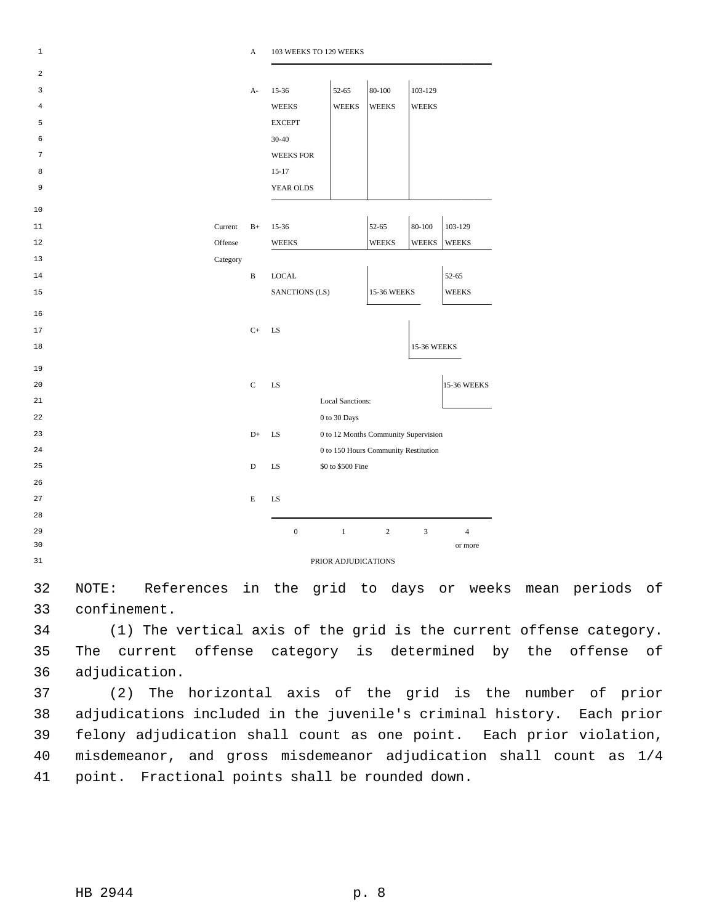| $\mathbf 1$             |          | A            | 103 WEEKS TO 129 WEEKS |                         |                                      |               |                |
|-------------------------|----------|--------------|------------------------|-------------------------|--------------------------------------|---------------|----------------|
| $\overline{\mathbf{c}}$ |          |              |                        |                         |                                      |               |                |
| 3                       |          | $A-$         | 15-36                  | 52-65                   | 80-100                               | 103-129       |                |
| 4                       |          |              | <b>WEEKS</b>           | <b>WEEKS</b>            | <b>WEEKS</b>                         | <b>WEEKS</b>  |                |
| 5                       |          |              | <b>EXCEPT</b>          |                         |                                      |               |                |
| 6                       |          |              | 30-40                  |                         |                                      |               |                |
| 7                       |          |              | <b>WEEKS FOR</b>       |                         |                                      |               |                |
| 8                       |          |              | $15 - 17$              |                         |                                      |               |                |
| 9                       |          |              | YEAR OLDS              |                         |                                      |               |                |
| 10                      |          |              |                        |                         |                                      |               |                |
| 11                      | Current  | $B+$         | 15-36                  |                         | 52-65                                | $80 - 100$    | 103-129        |
| 12                      | Offense  |              | <b>WEEKS</b>           |                         | <b>WEEKS</b>                         | <b>WEEKS</b>  | <b>WEEKS</b>   |
| 13                      | Category |              |                        |                         |                                      |               |                |
| 14                      |          | $\, {\bf B}$ | <b>LOCAL</b>           |                         |                                      |               | 52-65          |
| 15                      |          |              | SANCTIONS (LS)         |                         | 15-36 WEEKS                          |               | <b>WEEKS</b>   |
| 16                      |          |              |                        |                         |                                      |               |                |
| 17                      |          | $C+$         | LS                     |                         |                                      |               |                |
| 18                      |          |              |                        |                         |                                      | 15-36 WEEKS   |                |
|                         |          |              |                        |                         |                                      |               |                |
| 19                      |          |              |                        |                         |                                      |               |                |
| 20                      |          | $\mathbf C$  | LS                     |                         |                                      |               | 15-36 WEEKS    |
| 21                      |          |              |                        | <b>Local Sanctions:</b> |                                      |               |                |
| 22                      |          |              |                        | 0 to 30 Days            |                                      |               |                |
| 23                      |          | $D+$         | LS                     |                         | 0 to 12 Months Community Supervision |               |                |
| 24                      |          |              |                        |                         | 0 to 150 Hours Community Restitution |               |                |
| 25                      |          | $\mathbf D$  | LS                     | \$0 to \$500 Fine       |                                      |               |                |
| 26                      |          |              |                        |                         |                                      |               |                |
| 27                      |          | Е            | LS                     |                         |                                      |               |                |
| 28                      |          |              |                        |                         |                                      |               |                |
| 29                      |          |              | $\boldsymbol{0}$       | $\,1$                   | $\overline{c}$                       | $\mathfrak z$ | $\overline{4}$ |
| 30                      |          |              |                        |                         |                                      |               | or more        |
| 31                      |          |              |                        | PRIOR ADJUDICATIONS     |                                      |               |                |

32 NOTE: References in the grid to days or weeks mean periods of 33 confinement.

34 (1) The vertical axis of the grid is the current offense category. 35 The current offense category is determined by the offense of 36 adjudication.

37 (2) The horizontal axis of the grid is the number of prior 38 adjudications included in the juvenile's criminal history. Each prior 39 felony adjudication shall count as one point. Each prior violation, 40 misdemeanor, and gross misdemeanor adjudication shall count as 1/4 41 point. Fractional points shall be rounded down.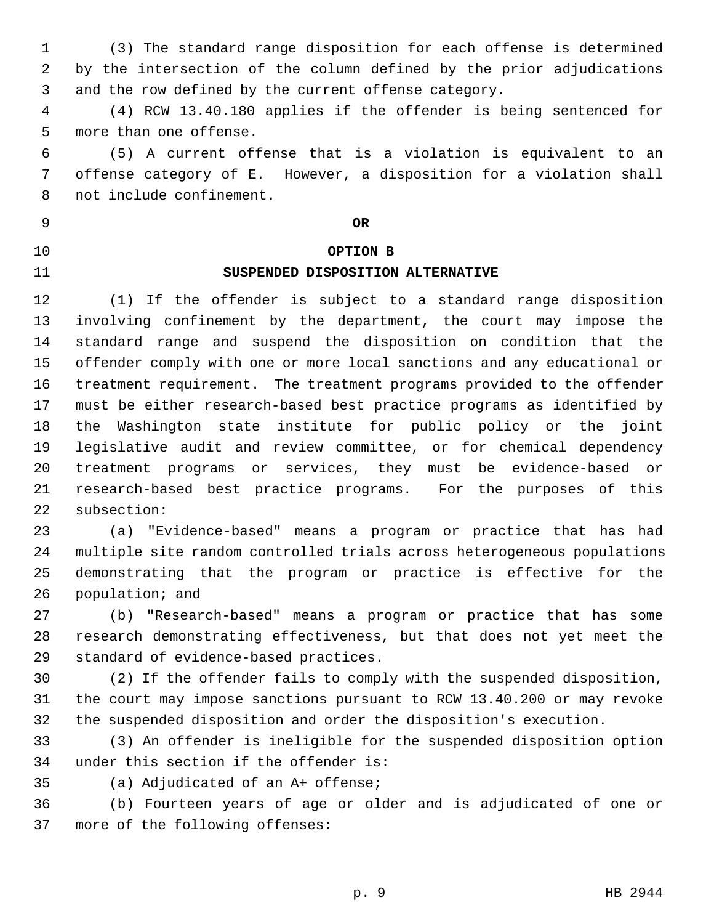1 (3) The standard range disposition for each offense is determined 2 by the intersection of the column defined by the prior adjudications 3 and the row defined by the current offense category. 4 (4) RCW 13.40.180 applies if the offender is being sentenced for 5 more than one offense. 6 (5) A current offense that is a violation is equivalent to an 7 offense category of E. However, a disposition for a violation shall 8 not include confinement. 9 **OR** 10 **OPTION B** 11 **SUSPENDED DISPOSITION ALTERNATIVE** 12 (1) If the offender is subject to a standard range disposition 13 involving confinement by the department, the court may impose the 14 standard range and suspend the disposition on condition that the 15 offender comply with one or more local sanctions and any educational or 16 treatment requirement. The treatment programs provided to the offender 17 must be either research-based best practice programs as identified by 18 the Washington state institute for public policy or the joint 19 legislative audit and review committee, or for chemical dependency

21 research-based best practice programs. For the purposes of this 22 subsection:

23 (a) "Evidence-based" means a program or practice that has had 24 multiple site random controlled trials across heterogeneous populations 25 demonstrating that the program or practice is effective for the 26 population; and

20 treatment programs or services, they must be evidence-based or

27 (b) "Research-based" means a program or practice that has some 28 research demonstrating effectiveness, but that does not yet meet the 29 standard of evidence-based practices.

30 (2) If the offender fails to comply with the suspended disposition, 31 the court may impose sanctions pursuant to RCW 13.40.200 or may revoke 32 the suspended disposition and order the disposition's execution.

33 (3) An offender is ineligible for the suspended disposition option 34 under this section if the offender is:

35 (a) Adjudicated of an A+ offense;

36 (b) Fourteen years of age or older and is adjudicated of one or 37 more of the following offenses: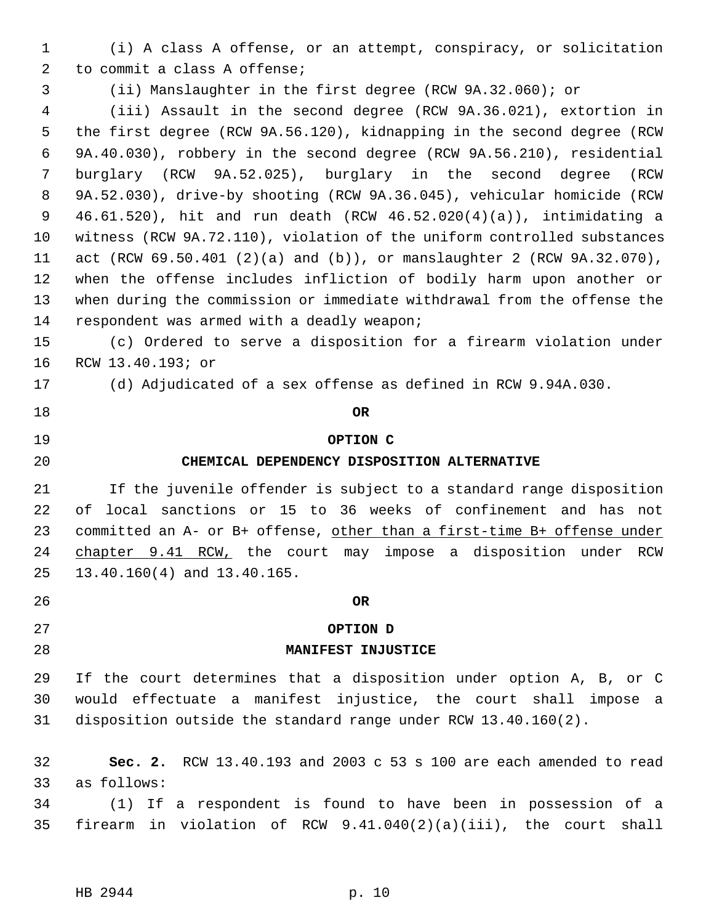- 1 (i) A class A offense, or an attempt, conspiracy, or solicitation 2 to commit a class A offense;
- 3 (ii) Manslaughter in the first degree (RCW 9A.32.060); or

 4 (iii) Assault in the second degree (RCW 9A.36.021), extortion in 5 the first degree (RCW 9A.56.120), kidnapping in the second degree (RCW 6 9A.40.030), robbery in the second degree (RCW 9A.56.210), residential 7 burglary (RCW 9A.52.025), burglary in the second degree (RCW 8 9A.52.030), drive-by shooting (RCW 9A.36.045), vehicular homicide (RCW 9 46.61.520), hit and run death (RCW 46.52.020(4)(a)), intimidating a 10 witness (RCW 9A.72.110), violation of the uniform controlled substances 11 act (RCW 69.50.401 (2)(a) and (b)), or manslaughter 2 (RCW 9A.32.070), 12 when the offense includes infliction of bodily harm upon another or 13 when during the commission or immediate withdrawal from the offense the 14 respondent was armed with a deadly weapon;

- 15 (c) Ordered to serve a disposition for a firearm violation under 16 RCW 13.40.193; or
- 17 (d) Adjudicated of a sex offense as defined in RCW 9.94A.030.
- 18 **OR**
- 
- 

#### 19 **OPTION C**

### 20 **CHEMICAL DEPENDENCY DISPOSITION ALTERNATIVE**

21 If the juvenile offender is subject to a standard range disposition 22 of local sanctions or 15 to 36 weeks of confinement and has not 23 committed an A- or B+ offense, other than a first-time B+ offense under 24 chapter 9.41 RCW, the court may impose a disposition under RCW 25 13.40.160(4) and 13.40.165.

# 26 **OR**

### 27 **OPTION D**

#### 28 **MANIFEST INJUSTICE**

29 If the court determines that a disposition under option A, B, or C 30 would effectuate a manifest injustice, the court shall impose a 31 disposition outside the standard range under RCW 13.40.160(2).

32 **Sec. 2.** RCW 13.40.193 and 2003 c 53 s 100 are each amended to read 33 as follows:

34 (1) If a respondent is found to have been in possession of a 35 firearm in violation of RCW 9.41.040(2)(a)(iii), the court shall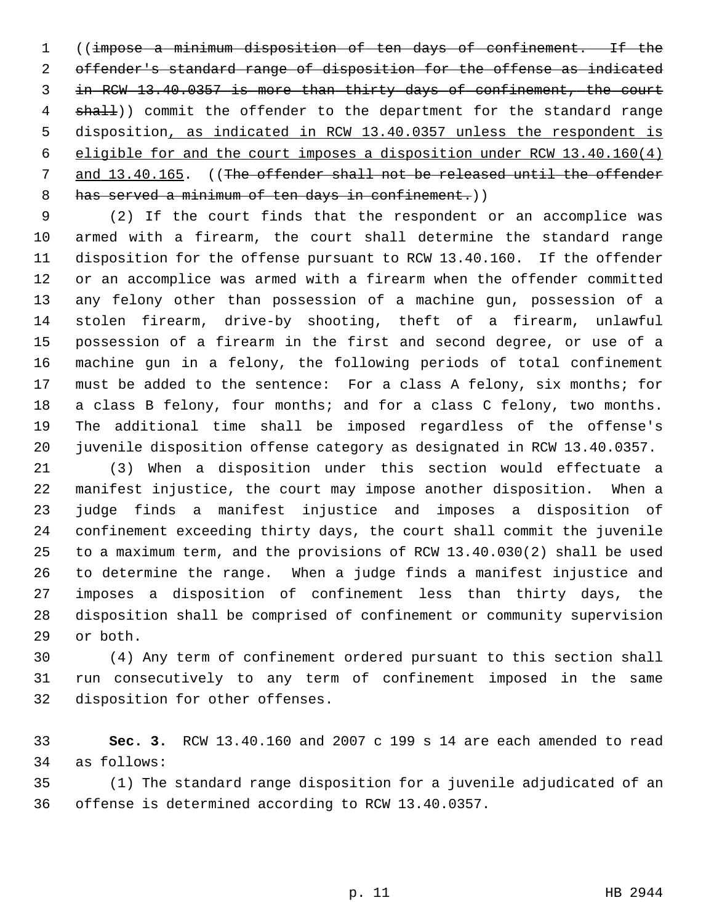1 ((impose a minimum disposition of ten days of confinement. If the 2 offender's standard range of disposition for the offense as indicated 3 in RCW 13.40.0357 is more than thirty days of confinement, the court 4 shall)) commit the offender to the department for the standard range 5 disposition, as indicated in RCW 13.40.0357 unless the respondent is 6 eligible for and the court imposes a disposition under RCW 13.40.160(4) 7 and 13.40.165. ((The offender shall not be released until the offender 8 has served a minimum of ten days in confinement.)

 9 (2) If the court finds that the respondent or an accomplice was 10 armed with a firearm, the court shall determine the standard range 11 disposition for the offense pursuant to RCW 13.40.160. If the offender 12 or an accomplice was armed with a firearm when the offender committed 13 any felony other than possession of a machine gun, possession of a 14 stolen firearm, drive-by shooting, theft of a firearm, unlawful 15 possession of a firearm in the first and second degree, or use of a 16 machine gun in a felony, the following periods of total confinement 17 must be added to the sentence: For a class A felony, six months; for 18 a class B felony, four months; and for a class C felony, two months. 19 The additional time shall be imposed regardless of the offense's 20 juvenile disposition offense category as designated in RCW 13.40.0357.

21 (3) When a disposition under this section would effectuate a 22 manifest injustice, the court may impose another disposition. When a 23 judge finds a manifest injustice and imposes a disposition of 24 confinement exceeding thirty days, the court shall commit the juvenile 25 to a maximum term, and the provisions of RCW 13.40.030(2) shall be used 26 to determine the range. When a judge finds a manifest injustice and 27 imposes a disposition of confinement less than thirty days, the 28 disposition shall be comprised of confinement or community supervision 29 or both.

30 (4) Any term of confinement ordered pursuant to this section shall 31 run consecutively to any term of confinement imposed in the same 32 disposition for other offenses.

33 **Sec. 3.** RCW 13.40.160 and 2007 c 199 s 14 are each amended to read 34 as follows:

35 (1) The standard range disposition for a juvenile adjudicated of an 36 offense is determined according to RCW 13.40.0357.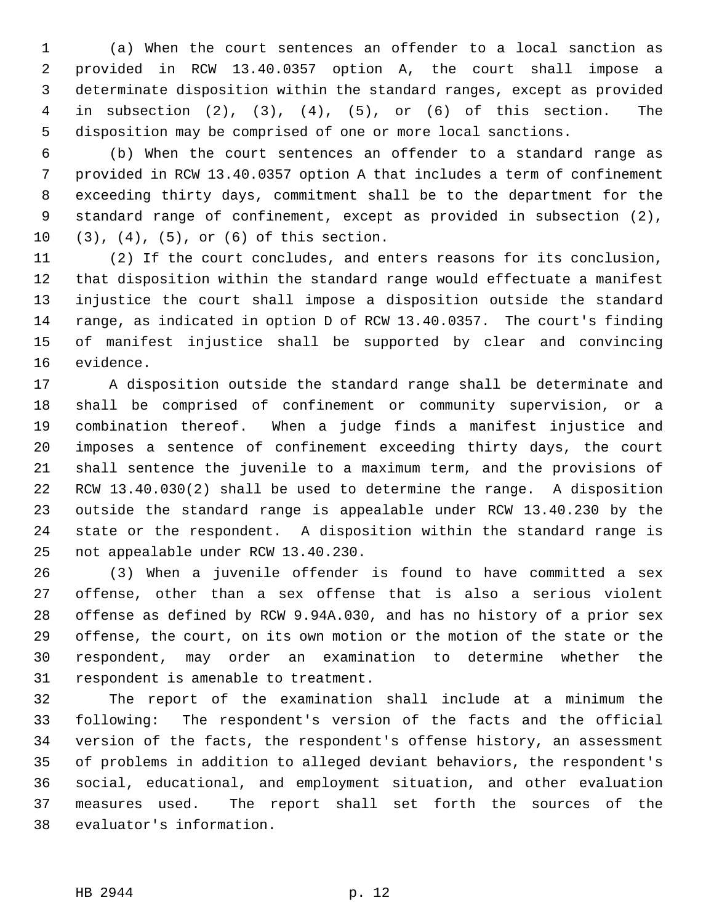1 (a) When the court sentences an offender to a local sanction as 2 provided in RCW 13.40.0357 option A, the court shall impose a 3 determinate disposition within the standard ranges, except as provided 4 in subsection (2), (3), (4), (5), or (6) of this section. The 5 disposition may be comprised of one or more local sanctions.

 6 (b) When the court sentences an offender to a standard range as 7 provided in RCW 13.40.0357 option A that includes a term of confinement 8 exceeding thirty days, commitment shall be to the department for the 9 standard range of confinement, except as provided in subsection (2), 10 (3), (4), (5), or (6) of this section.

11 (2) If the court concludes, and enters reasons for its conclusion, 12 that disposition within the standard range would effectuate a manifest 13 injustice the court shall impose a disposition outside the standard 14 range, as indicated in option D of RCW 13.40.0357. The court's finding 15 of manifest injustice shall be supported by clear and convincing 16 evidence.

17 A disposition outside the standard range shall be determinate and 18 shall be comprised of confinement or community supervision, or a 19 combination thereof. When a judge finds a manifest injustice and 20 imposes a sentence of confinement exceeding thirty days, the court 21 shall sentence the juvenile to a maximum term, and the provisions of 22 RCW 13.40.030(2) shall be used to determine the range. A disposition 23 outside the standard range is appealable under RCW 13.40.230 by the 24 state or the respondent. A disposition within the standard range is 25 not appealable under RCW 13.40.230.

26 (3) When a juvenile offender is found to have committed a sex 27 offense, other than a sex offense that is also a serious violent 28 offense as defined by RCW 9.94A.030, and has no history of a prior sex 29 offense, the court, on its own motion or the motion of the state or the 30 respondent, may order an examination to determine whether the 31 respondent is amenable to treatment.

32 The report of the examination shall include at a minimum the 33 following: The respondent's version of the facts and the official 34 version of the facts, the respondent's offense history, an assessment 35 of problems in addition to alleged deviant behaviors, the respondent's 36 social, educational, and employment situation, and other evaluation 37 measures used. The report shall set forth the sources of the 38 evaluator's information.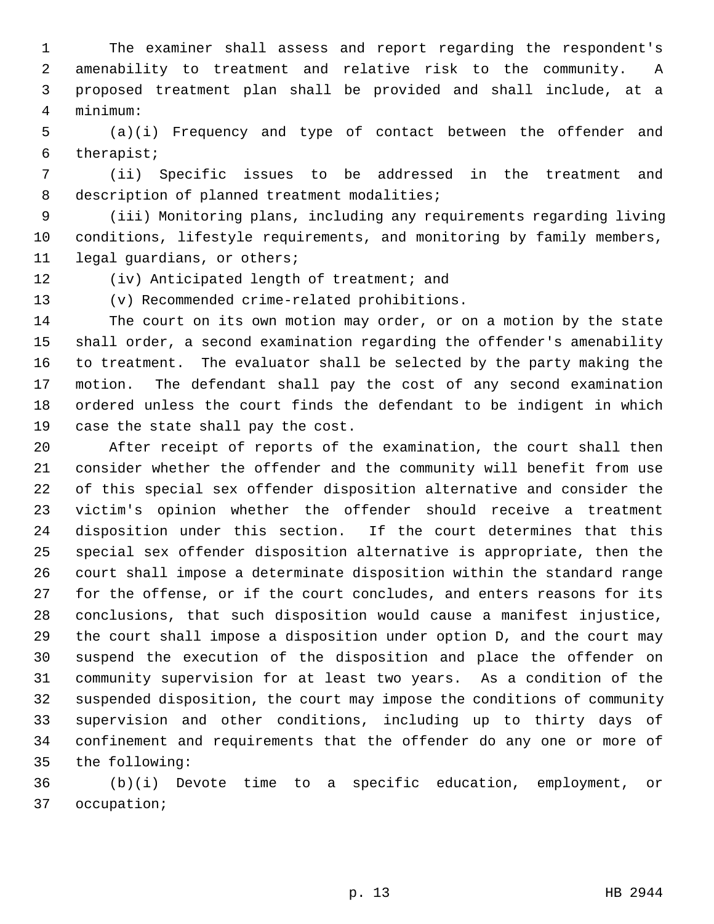1 The examiner shall assess and report regarding the respondent's 2 amenability to treatment and relative risk to the community. A 3 proposed treatment plan shall be provided and shall include, at a 4 minimum:

 5 (a)(i) Frequency and type of contact between the offender and 6 therapist;

 7 (ii) Specific issues to be addressed in the treatment and 8 description of planned treatment modalities;

 9 (iii) Monitoring plans, including any requirements regarding living 10 conditions, lifestyle requirements, and monitoring by family members, 11 legal guardians, or others;

12 (iv) Anticipated length of treatment; and

13 (v) Recommended crime-related prohibitions.

14 The court on its own motion may order, or on a motion by the state 15 shall order, a second examination regarding the offender's amenability 16 to treatment. The evaluator shall be selected by the party making the 17 motion. The defendant shall pay the cost of any second examination 18 ordered unless the court finds the defendant to be indigent in which 19 case the state shall pay the cost.

20 After receipt of reports of the examination, the court shall then 21 consider whether the offender and the community will benefit from use 22 of this special sex offender disposition alternative and consider the 23 victim's opinion whether the offender should receive a treatment 24 disposition under this section. If the court determines that this 25 special sex offender disposition alternative is appropriate, then the 26 court shall impose a determinate disposition within the standard range 27 for the offense, or if the court concludes, and enters reasons for its 28 conclusions, that such disposition would cause a manifest injustice, 29 the court shall impose a disposition under option D, and the court may 30 suspend the execution of the disposition and place the offender on 31 community supervision for at least two years. As a condition of the 32 suspended disposition, the court may impose the conditions of community 33 supervision and other conditions, including up to thirty days of 34 confinement and requirements that the offender do any one or more of 35 the following:

36 (b)(i) Devote time to a specific education, employment, or 37 occupation;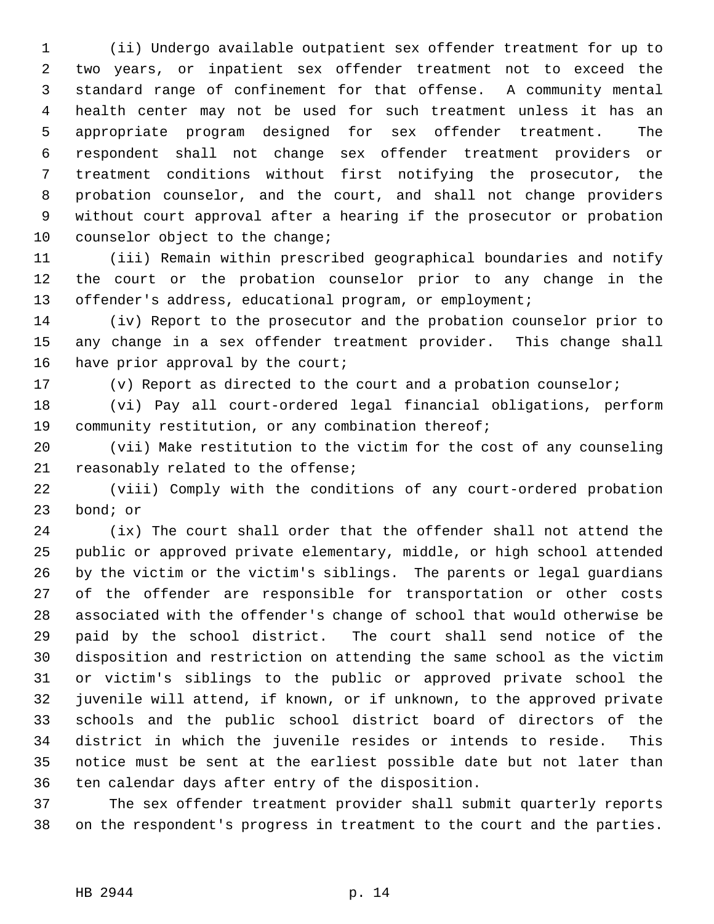1 (ii) Undergo available outpatient sex offender treatment for up to 2 two years, or inpatient sex offender treatment not to exceed the 3 standard range of confinement for that offense. A community mental 4 health center may not be used for such treatment unless it has an 5 appropriate program designed for sex offender treatment. The 6 respondent shall not change sex offender treatment providers or 7 treatment conditions without first notifying the prosecutor, the 8 probation counselor, and the court, and shall not change providers 9 without court approval after a hearing if the prosecutor or probation 10 counselor object to the change;

11 (iii) Remain within prescribed geographical boundaries and notify 12 the court or the probation counselor prior to any change in the 13 offender's address, educational program, or employment;

14 (iv) Report to the prosecutor and the probation counselor prior to 15 any change in a sex offender treatment provider. This change shall 16 have prior approval by the court;

17 (v) Report as directed to the court and a probation counselor;

18 (vi) Pay all court-ordered legal financial obligations, perform 19 community restitution, or any combination thereof;

20 (vii) Make restitution to the victim for the cost of any counseling 21 reasonably related to the offense;

22 (viii) Comply with the conditions of any court-ordered probation 23 bond; or

24 (ix) The court shall order that the offender shall not attend the 25 public or approved private elementary, middle, or high school attended 26 by the victim or the victim's siblings. The parents or legal guardians 27 of the offender are responsible for transportation or other costs 28 associated with the offender's change of school that would otherwise be 29 paid by the school district. The court shall send notice of the 30 disposition and restriction on attending the same school as the victim 31 or victim's siblings to the public or approved private school the 32 juvenile will attend, if known, or if unknown, to the approved private 33 schools and the public school district board of directors of the 34 district in which the juvenile resides or intends to reside. This 35 notice must be sent at the earliest possible date but not later than 36 ten calendar days after entry of the disposition.

37 The sex offender treatment provider shall submit quarterly reports 38 on the respondent's progress in treatment to the court and the parties.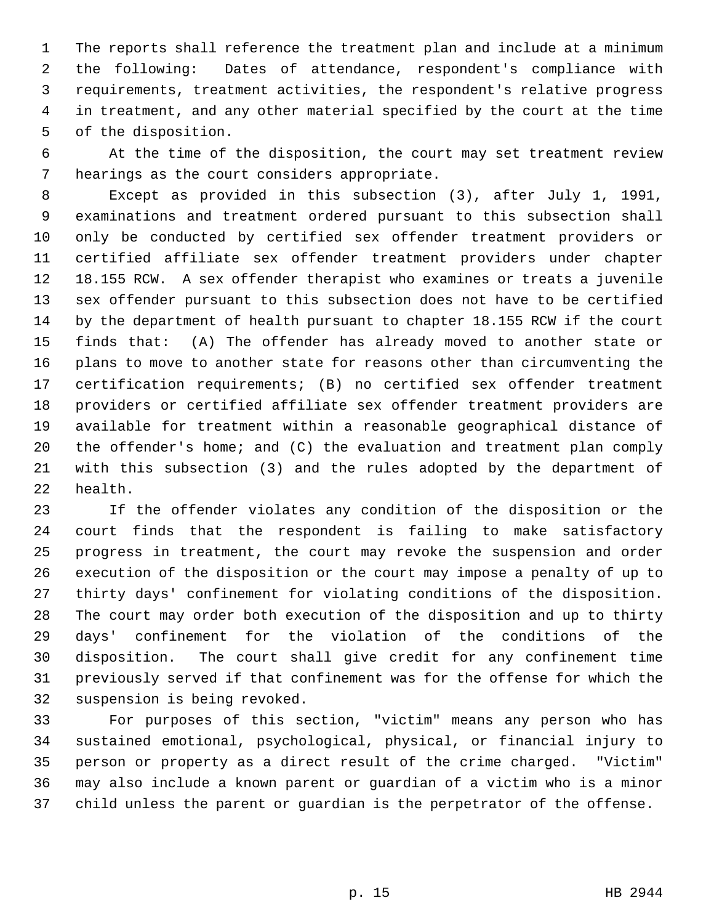1 The reports shall reference the treatment plan and include at a minimum 2 the following: Dates of attendance, respondent's compliance with 3 requirements, treatment activities, the respondent's relative progress 4 in treatment, and any other material specified by the court at the time 5 of the disposition.

 6 At the time of the disposition, the court may set treatment review 7 hearings as the court considers appropriate.

 8 Except as provided in this subsection (3), after July 1, 1991, 9 examinations and treatment ordered pursuant to this subsection shall 10 only be conducted by certified sex offender treatment providers or 11 certified affiliate sex offender treatment providers under chapter 12 18.155 RCW. A sex offender therapist who examines or treats a juvenile 13 sex offender pursuant to this subsection does not have to be certified 14 by the department of health pursuant to chapter 18.155 RCW if the court 15 finds that: (A) The offender has already moved to another state or 16 plans to move to another state for reasons other than circumventing the 17 certification requirements; (B) no certified sex offender treatment 18 providers or certified affiliate sex offender treatment providers are 19 available for treatment within a reasonable geographical distance of 20 the offender's home; and (C) the evaluation and treatment plan comply 21 with this subsection (3) and the rules adopted by the department of 22 health.

23 If the offender violates any condition of the disposition or the 24 court finds that the respondent is failing to make satisfactory 25 progress in treatment, the court may revoke the suspension and order 26 execution of the disposition or the court may impose a penalty of up to 27 thirty days' confinement for violating conditions of the disposition. 28 The court may order both execution of the disposition and up to thirty 29 days' confinement for the violation of the conditions of the 30 disposition. The court shall give credit for any confinement time 31 previously served if that confinement was for the offense for which the 32 suspension is being revoked.

33 For purposes of this section, "victim" means any person who has 34 sustained emotional, psychological, physical, or financial injury to 35 person or property as a direct result of the crime charged. "Victim" 36 may also include a known parent or guardian of a victim who is a minor 37 child unless the parent or guardian is the perpetrator of the offense.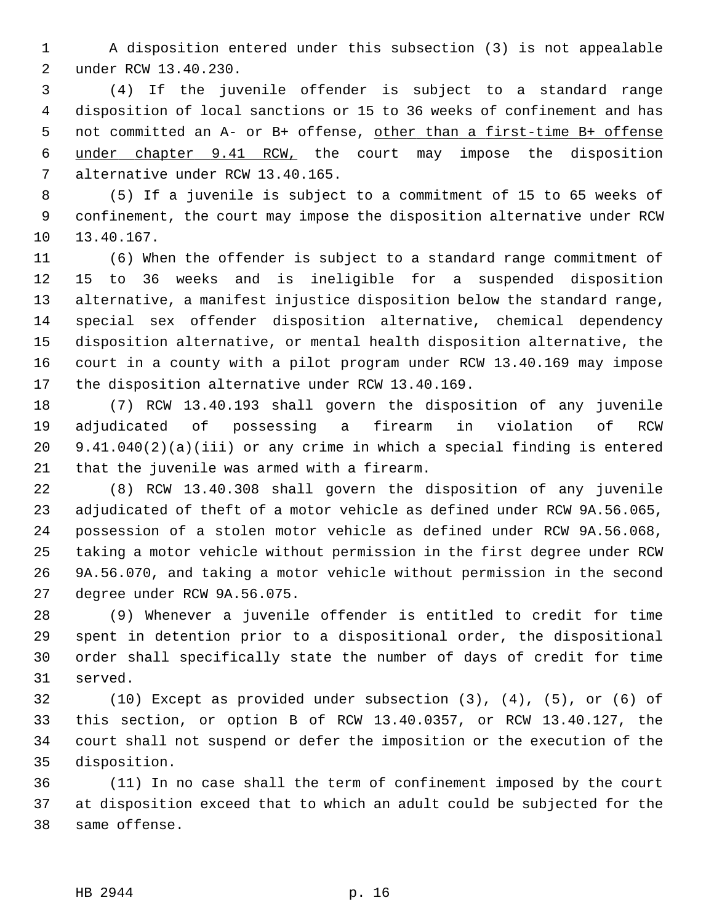1 A disposition entered under this subsection (3) is not appealable 2 under RCW 13.40.230.

 3 (4) If the juvenile offender is subject to a standard range 4 disposition of local sanctions or 15 to 36 weeks of confinement and has 5 not committed an A- or B+ offense, other than a first-time B+ offense 6 under chapter 9.41 RCW, the court may impose the disposition 7 alternative under RCW 13.40.165.

 8 (5) If a juvenile is subject to a commitment of 15 to 65 weeks of 9 confinement, the court may impose the disposition alternative under RCW 10 13.40.167.

11 (6) When the offender is subject to a standard range commitment of 12 15 to 36 weeks and is ineligible for a suspended disposition 13 alternative, a manifest injustice disposition below the standard range, 14 special sex offender disposition alternative, chemical dependency 15 disposition alternative, or mental health disposition alternative, the 16 court in a county with a pilot program under RCW 13.40.169 may impose 17 the disposition alternative under RCW 13.40.169.

18 (7) RCW 13.40.193 shall govern the disposition of any juvenile 19 adjudicated of possessing a firearm in violation of RCW 20 9.41.040(2)(a)(iii) or any crime in which a special finding is entered 21 that the juvenile was armed with a firearm.

22 (8) RCW 13.40.308 shall govern the disposition of any juvenile 23 adjudicated of theft of a motor vehicle as defined under RCW 9A.56.065, 24 possession of a stolen motor vehicle as defined under RCW 9A.56.068, 25 taking a motor vehicle without permission in the first degree under RCW 26 9A.56.070, and taking a motor vehicle without permission in the second 27 degree under RCW 9A.56.075.

28 (9) Whenever a juvenile offender is entitled to credit for time 29 spent in detention prior to a dispositional order, the dispositional 30 order shall specifically state the number of days of credit for time 31 served.

32 (10) Except as provided under subsection (3), (4), (5), or (6) of 33 this section, or option B of RCW 13.40.0357, or RCW 13.40.127, the 34 court shall not suspend or defer the imposition or the execution of the 35 disposition.

36 (11) In no case shall the term of confinement imposed by the court 37 at disposition exceed that to which an adult could be subjected for the 38 same offense.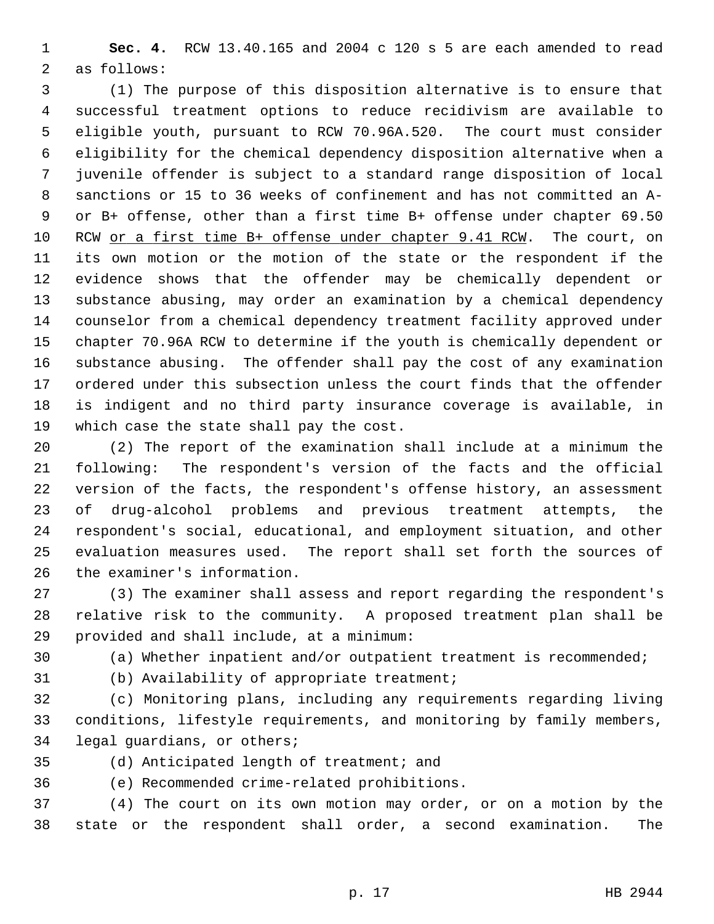1 **Sec. 4.** RCW 13.40.165 and 2004 c 120 s 5 are each amended to read 2 as follows:

 3 (1) The purpose of this disposition alternative is to ensure that 4 successful treatment options to reduce recidivism are available to 5 eligible youth, pursuant to RCW 70.96A.520. The court must consider 6 eligibility for the chemical dependency disposition alternative when a 7 juvenile offender is subject to a standard range disposition of local 8 sanctions or 15 to 36 weeks of confinement and has not committed an A- 9 or B+ offense, other than a first time B+ offense under chapter 69.50 10 RCW or a first time B+ offense under chapter 9.41 RCW. The court, on 11 its own motion or the motion of the state or the respondent if the 12 evidence shows that the offender may be chemically dependent or 13 substance abusing, may order an examination by a chemical dependency 14 counselor from a chemical dependency treatment facility approved under 15 chapter 70.96A RCW to determine if the youth is chemically dependent or 16 substance abusing. The offender shall pay the cost of any examination 17 ordered under this subsection unless the court finds that the offender 18 is indigent and no third party insurance coverage is available, in 19 which case the state shall pay the cost.

20 (2) The report of the examination shall include at a minimum the 21 following: The respondent's version of the facts and the official 22 version of the facts, the respondent's offense history, an assessment 23 of drug-alcohol problems and previous treatment attempts, the 24 respondent's social, educational, and employment situation, and other 25 evaluation measures used. The report shall set forth the sources of 26 the examiner's information.

27 (3) The examiner shall assess and report regarding the respondent's 28 relative risk to the community. A proposed treatment plan shall be 29 provided and shall include, at a minimum:

30 (a) Whether inpatient and/or outpatient treatment is recommended;

31 (b) Availability of appropriate treatment;

32 (c) Monitoring plans, including any requirements regarding living 33 conditions, lifestyle requirements, and monitoring by family members, 34 legal guardians, or others;

35 (d) Anticipated length of treatment; and

36 (e) Recommended crime-related prohibitions.

37 (4) The court on its own motion may order, or on a motion by the 38 state or the respondent shall order, a second examination. The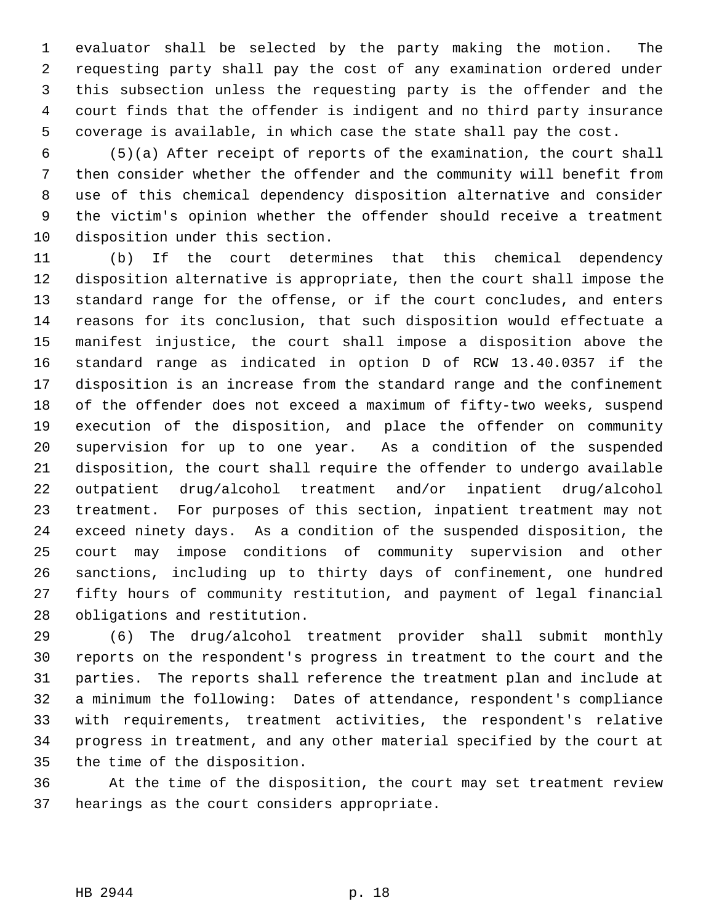1 evaluator shall be selected by the party making the motion. The 2 requesting party shall pay the cost of any examination ordered under 3 this subsection unless the requesting party is the offender and the 4 court finds that the offender is indigent and no third party insurance 5 coverage is available, in which case the state shall pay the cost.

 6 (5)(a) After receipt of reports of the examination, the court shall 7 then consider whether the offender and the community will benefit from 8 use of this chemical dependency disposition alternative and consider 9 the victim's opinion whether the offender should receive a treatment 10 disposition under this section.

11 (b) If the court determines that this chemical dependency 12 disposition alternative is appropriate, then the court shall impose the 13 standard range for the offense, or if the court concludes, and enters 14 reasons for its conclusion, that such disposition would effectuate a 15 manifest injustice, the court shall impose a disposition above the 16 standard range as indicated in option D of RCW 13.40.0357 if the 17 disposition is an increase from the standard range and the confinement 18 of the offender does not exceed a maximum of fifty-two weeks, suspend 19 execution of the disposition, and place the offender on community 20 supervision for up to one year. As a condition of the suspended 21 disposition, the court shall require the offender to undergo available 22 outpatient drug/alcohol treatment and/or inpatient drug/alcohol 23 treatment. For purposes of this section, inpatient treatment may not 24 exceed ninety days. As a condition of the suspended disposition, the 25 court may impose conditions of community supervision and other 26 sanctions, including up to thirty days of confinement, one hundred 27 fifty hours of community restitution, and payment of legal financial 28 obligations and restitution.

29 (6) The drug/alcohol treatment provider shall submit monthly 30 reports on the respondent's progress in treatment to the court and the 31 parties. The reports shall reference the treatment plan and include at 32 a minimum the following: Dates of attendance, respondent's compliance 33 with requirements, treatment activities, the respondent's relative 34 progress in treatment, and any other material specified by the court at 35 the time of the disposition.

36 At the time of the disposition, the court may set treatment review 37 hearings as the court considers appropriate.